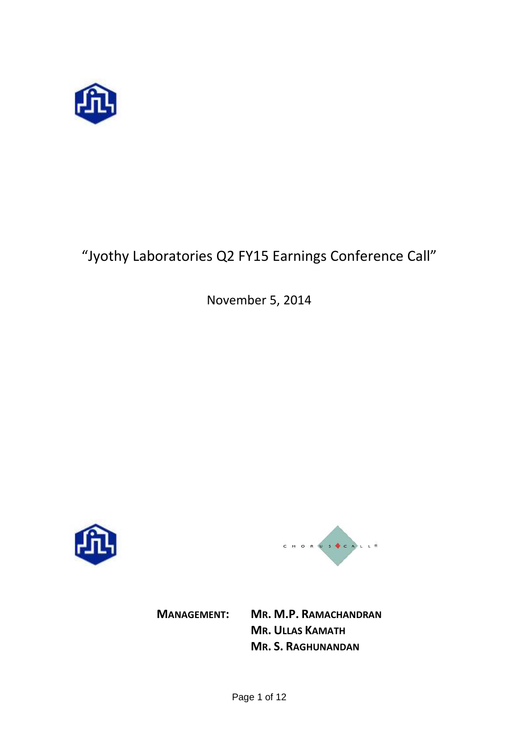

# "Jyothy Laboratories Q2 FY15 Earnings Conference Call"

November 5, 2014





**MANAGEMENT: MR. M.P. RAMACHANDRAN MR. ULLAS KAMATH MR. S. RAGHUNANDAN**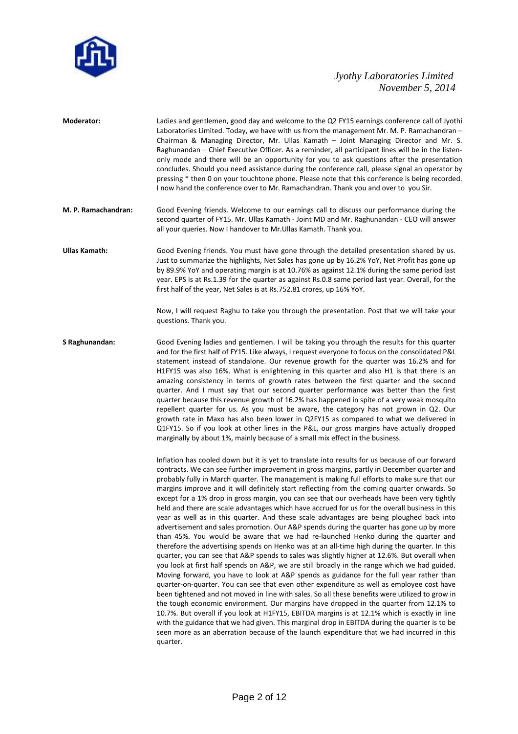

| Moderator:           | Ladies and gentlemen, good day and welcome to the Q2 FY15 earnings conference call of Jyothi<br>Laboratories Limited. Today, we have with us from the management Mr. M. P. Ramachandran -<br>Chairman & Managing Director, Mr. Ullas Kamath - Joint Managing Director and Mr. S.<br>Raghunandan - Chief Executive Officer. As a reminder, all participant lines will be in the listen-<br>only mode and there will be an opportunity for you to ask questions after the presentation<br>concludes. Should you need assistance during the conference call, please signal an operator by<br>pressing * then 0 on your touchtone phone. Please note that this conference is being recorded.<br>I now hand the conference over to Mr. Ramachandran. Thank you and over to you Sir.                                                                                                                                                                                                                                                                                                                                                                                                                                                                                                                                                                                                                                                                                                                                                                                                                                                                                                                                                                                                                                                                                              |
|----------------------|-----------------------------------------------------------------------------------------------------------------------------------------------------------------------------------------------------------------------------------------------------------------------------------------------------------------------------------------------------------------------------------------------------------------------------------------------------------------------------------------------------------------------------------------------------------------------------------------------------------------------------------------------------------------------------------------------------------------------------------------------------------------------------------------------------------------------------------------------------------------------------------------------------------------------------------------------------------------------------------------------------------------------------------------------------------------------------------------------------------------------------------------------------------------------------------------------------------------------------------------------------------------------------------------------------------------------------------------------------------------------------------------------------------------------------------------------------------------------------------------------------------------------------------------------------------------------------------------------------------------------------------------------------------------------------------------------------------------------------------------------------------------------------------------------------------------------------------------------------------------------------|
| M. P. Ramachandran:  | Good Evening friends. Welcome to our earnings call to discuss our performance during the<br>second quarter of FY15. Mr. Ullas Kamath - Joint MD and Mr. Raghunandan - CEO will answer<br>all your queries. Now I handover to Mr.Ullas Kamath. Thank you.                                                                                                                                                                                                                                                                                                                                                                                                                                                                                                                                                                                                                                                                                                                                                                                                                                                                                                                                                                                                                                                                                                                                                                                                                                                                                                                                                                                                                                                                                                                                                                                                                    |
| <b>Ullas Kamath:</b> | Good Evening friends. You must have gone through the detailed presentation shared by us.<br>Just to summarize the highlights, Net Sales has gone up by 16.2% YoY, Net Profit has gone up<br>by 89.9% YoY and operating margin is at 10.76% as against 12.1% during the same period last<br>year. EPS is at Rs.1.39 for the quarter as against Rs.0.8 same period last year. Overall, for the<br>first half of the year, Net Sales is at Rs.752.81 crores, up 16% YoY.                                                                                                                                                                                                                                                                                                                                                                                                                                                                                                                                                                                                                                                                                                                                                                                                                                                                                                                                                                                                                                                                                                                                                                                                                                                                                                                                                                                                       |
|                      | Now, I will request Raghu to take you through the presentation. Post that we will take your<br>questions. Thank you.                                                                                                                                                                                                                                                                                                                                                                                                                                                                                                                                                                                                                                                                                                                                                                                                                                                                                                                                                                                                                                                                                                                                                                                                                                                                                                                                                                                                                                                                                                                                                                                                                                                                                                                                                        |
| S Raghunandan:       | Good Evening ladies and gentlemen. I will be taking you through the results for this quarter<br>and for the first half of FY15. Like always, I request everyone to focus on the consolidated P&L<br>statement instead of standalone. Our revenue growth for the quarter was 16.2% and for<br>H1FY15 was also 16%. What is enlightening in this quarter and also H1 is that there is an<br>amazing consistency in terms of growth rates between the first quarter and the second<br>quarter. And I must say that our second quarter performance was better than the first<br>quarter because this revenue growth of 16.2% has happened in spite of a very weak mosquito<br>repellent quarter for us. As you must be aware, the category has not grown in Q2. Our<br>growth rate in Maxo has also been lower in Q2FY15 as compared to what we delivered in<br>Q1FY15. So if you look at other lines in the P&L, our gross margins have actually dropped<br>marginally by about 1%, mainly because of a small mix effect in the business.                                                                                                                                                                                                                                                                                                                                                                                                                                                                                                                                                                                                                                                                                                                                                                                                                                      |
|                      | Inflation has cooled down but it is yet to translate into results for us because of our forward<br>contracts. We can see further improvement in gross margins, partly in December quarter and<br>probably fully in March quarter. The management is making full efforts to make sure that our<br>margins improve and it will definitely start reflecting from the coming quarter onwards. So<br>except for a 1% drop in gross margin, you can see that our overheads have been very tightly<br>held and there are scale advantages which have accrued for us for the overall business in this<br>year as well as in this quarter. And these scale advantages are being ploughed back into<br>advertisement and sales promotion. Our A&P spends during the quarter has gone up by more<br>than 45%. You would be aware that we had re-launched Henko during the quarter and<br>therefore the advertising spends on Henko was at an all-time high during the quarter. In this<br>quarter, you can see that A&P spends to sales was slightly higher at 12.6%. But overall when<br>you look at first half spends on A&P, we are still broadly in the range which we had guided.<br>Moving forward, you have to look at A&P spends as guidance for the full year rather than<br>quarter-on-quarter. You can see that even other expenditure as well as employee cost have<br>been tightened and not moved in line with sales. So all these benefits were utilized to grow in<br>the tough economic environment. Our margins have dropped in the quarter from 12.1% to<br>10.7%. But overall if you look at H1FY15, EBITDA margins is at 12.1% which is exactly in line<br>with the guidance that we had given. This marginal drop in EBITDA during the quarter is to be<br>seen more as an aberration because of the launch expenditure that we had incurred in this<br>quarter. |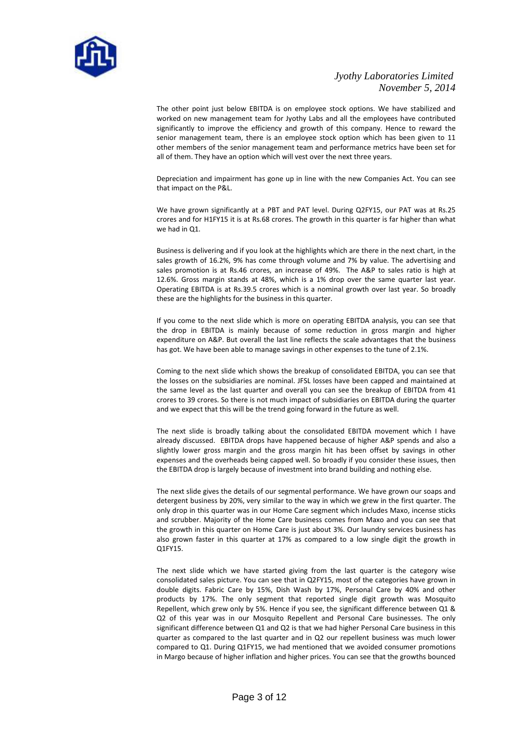

The other point just below EBITDA is on employee stock options. We have stabilized and worked on new management team for Jyothy Labs and all the employees have contributed significantly to improve the efficiency and growth of this company. Hence to reward the senior management team, there is an employee stock option which has been given to 11 other members of the senior management team and performance metrics have been set for all of them. They have an option which will vest over the next three years.

Depreciation and impairment has gone up in line with the new Companies Act. You can see that impact on the P&L.

We have grown significantly at a PBT and PAT level. During Q2FY15, our PAT was at Rs.25 crores and for H1FY15 it is at Rs.68 crores. The growth in this quarter is far higher than what we had in Q1.

Business is delivering and if you look at the highlights which are there in the next chart, in the sales growth of 16.2%, 9% has come through volume and 7% by value. The advertising and sales promotion is at Rs.46 crores, an increase of 49%. The A&P to sales ratio is high at 12.6%. Gross margin stands at 48%, which is a 1% drop over the same quarter last year. Operating EBITDA is at Rs.39.5 crores which is a nominal growth over last year. So broadly these are the highlights for the business in this quarter.

If you come to the next slide which is more on operating EBITDA analysis, you can see that the drop in EBITDA is mainly because of some reduction in gross margin and higher expenditure on A&P. But overall the last line reflects the scale advantages that the business has got. We have been able to manage savings in other expenses to the tune of 2.1%.

Coming to the next slide which shows the breakup of consolidated EBITDA, you can see that the losses on the subsidiaries are nominal. JFSL losses have been capped and maintained at the same level as the last quarter and overall you can see the breakup of EBITDA from 41 crores to 39 crores. So there is not much impact of subsidiaries on EBITDA during the quarter and we expect that this will be the trend going forward in the future as well.

The next slide is broadly talking about the consolidated EBITDA movement which I have already discussed. EBITDA drops have happened because of higher A&P spends and also a slightly lower gross margin and the gross margin hit has been offset by savings in other expenses and the overheads being capped well. So broadly if you consider these issues, then the EBITDA drop is largely because of investment into brand building and nothing else.

The next slide gives the details of our segmental performance. We have grown our soaps and detergent business by 20%, very similar to the way in which we grew in the first quarter. The only drop in this quarter was in our Home Care segment which includes Maxo, incense sticks and scrubber. Majority of the Home Care business comes from Maxo and you can see that the growth in this quarter on Home Care is just about 3%. Our laundry services business has also grown faster in this quarter at 17% as compared to a low single digit the growth in Q1FY15.

The next slide which we have started giving from the last quarter is the category wise consolidated sales picture. You can see that in Q2FY15, most of the categories have grown in double digits. Fabric Care by 15%, Dish Wash by 17%, Personal Care by 40% and other products by 17%. The only segment that reported single digit growth was Mosquito Repellent, which grew only by 5%. Hence if you see, the significant difference between Q1 & Q2 of this year was in our Mosquito Repellent and Personal Care businesses. The only significant difference between Q1 and Q2 is that we had higher Personal Care business in this quarter as compared to the last quarter and in Q2 our repellent business was much lower compared to Q1. During Q1FY15, we had mentioned that we avoided consumer promotions in Margo because of higher inflation and higher prices. You can see that the growths bounced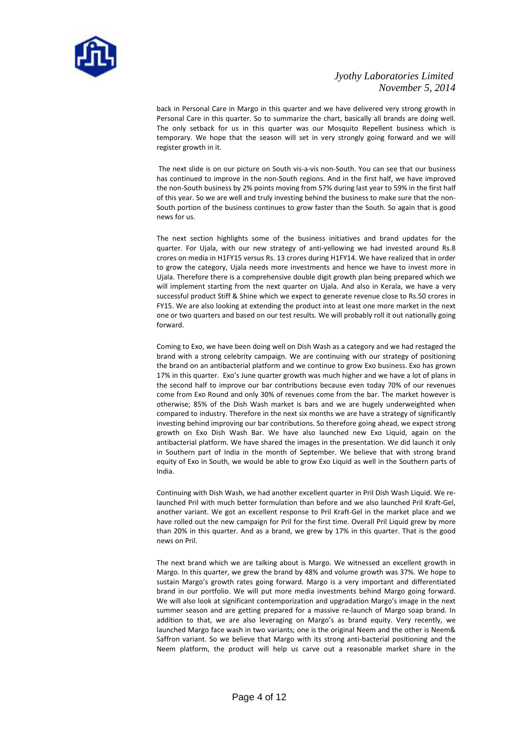

back in Personal Care in Margo in this quarter and we have delivered very strong growth in Personal Care in this quarter. So to summarize the chart, basically all brands are doing well. The only setback for us in this quarter was our Mosquito Repellent business which is temporary. We hope that the season will set in very strongly going forward and we will register growth in it.

 The next slide is on our picture on South vis-a-vis non-South. You can see that our business has continued to improve in the non-South regions. And in the first half, we have improved the non-South business by 2% points moving from 57% during last year to 59% in the first half of this year. So we are well and truly investing behind the business to make sure that the non-South portion of the business continues to grow faster than the South. So again that is good news for us.

The next section highlights some of the business initiatives and brand updates for the quarter. For Ujala, with our new strategy of anti-yellowing we had invested around Rs.8 crores on media in H1FY15 versus Rs. 13 crores during H1FY14. We have realized that in order to grow the category, Ujala needs more investments and hence we have to invest more in Ujala. Therefore there is a comprehensive double digit growth plan being prepared which we will implement starting from the next quarter on Ujala. And also in Kerala, we have a very successful product Stiff & Shine which we expect to generate revenue close to Rs.50 crores in FY15. We are also looking at extending the product into at least one more market in the next one or two quarters and based on our test results. We will probably roll it out nationally going forward.

Coming to Exo, we have been doing well on Dish Wash as a category and we had restaged the brand with a strong celebrity campaign. We are continuing with our strategy of positioning the brand on an antibacterial platform and we continue to grow Exo business. Exo has grown 17% in this quarter. Exo's June quarter growth was much higher and we have a lot of plans in the second half to improve our bar contributions because even today 70% of our revenues come from Exo Round and only 30% of revenues come from the bar. The market however is otherwise; 85% of the Dish Wash market is bars and we are hugely underweighted when compared to industry. Therefore in the next six months we are have a strategy of significantly investing behind improving our bar contributions. So therefore going ahead, we expect strong growth on Exo Dish Wash Bar. We have also launched new Exo Liquid, again on the antibacterial platform. We have shared the images in the presentation. We did launch it only in Southern part of India in the month of September. We believe that with strong brand equity of Exo in South, we would be able to grow Exo Liquid as well in the Southern parts of India.

Continuing with Dish Wash, we had another excellent quarter in Pril Dish Wash Liquid. We relaunched Pril with much better formulation than before and we also launched Pril Kraft-Gel, another variant. We got an excellent response to Pril Kraft-Gel in the market place and we have rolled out the new campaign for Pril for the first time. Overall Pril Liquid grew by more than 20% in this quarter. And as a brand, we grew by 17% in this quarter. That is the good news on Pril.

The next brand which we are talking about is Margo. We witnessed an excellent growth in Margo. In this quarter, we grew the brand by 48% and volume growth was 37%. We hope to sustain Margo's growth rates going forward. Margo is a very important and differentiated brand in our portfolio. We will put more media investments behind Margo going forward. We will also look at significant contemporization and upgradation Margo's image in the next summer season and are getting prepared for a massive re-launch of Margo soap brand. In addition to that, we are also leveraging on Margo's as brand equity. Very recently, we launched Margo face wash in two variants; one is the original Neem and the other is Neem& Saffron variant. So we believe that Margo with its strong anti-bacterial positioning and the Neem platform, the product will help us carve out a reasonable market share in the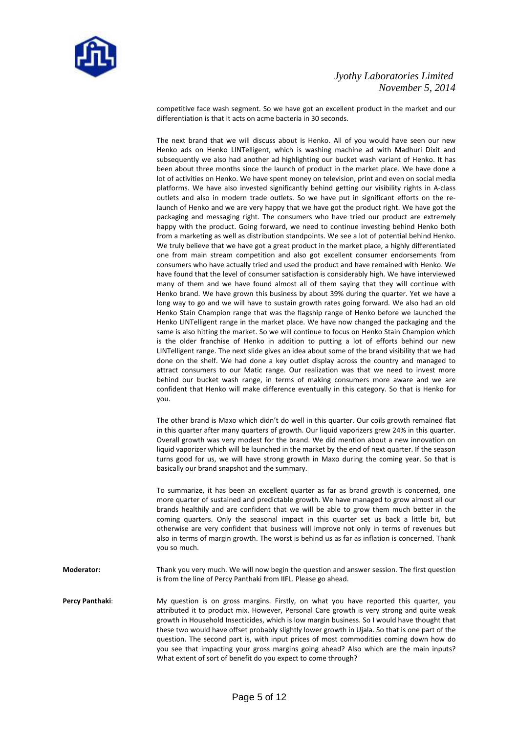

competitive face wash segment. So we have got an excellent product in the market and our differentiation is that it acts on acme bacteria in 30 seconds.

The next brand that we will discuss about is Henko. All of you would have seen our new Henko ads on Henko LINTelligent, which is washing machine ad with Madhuri Dixit and subsequently we also had another ad highlighting our bucket wash variant of Henko. It has been about three months since the launch of product in the market place. We have done a lot of activities on Henko. We have spent money on television, print and even on social media platforms. We have also invested significantly behind getting our visibility rights in A-class outlets and also in modern trade outlets. So we have put in significant efforts on the relaunch of Henko and we are very happy that we have got the product right. We have got the packaging and messaging right. The consumers who have tried our product are extremely happy with the product. Going forward, we need to continue investing behind Henko both from a marketing as well as distribution standpoints. We see a lot of potential behind Henko. We truly believe that we have got a great product in the market place, a highly differentiated one from main stream competition and also got excellent consumer endorsements from consumers who have actually tried and used the product and have remained with Henko. We have found that the level of consumer satisfaction is considerably high. We have interviewed many of them and we have found almost all of them saying that they will continue with Henko brand. We have grown this business by about 39% during the quarter. Yet we have a long way to go and we will have to sustain growth rates going forward. We also had an old Henko Stain Champion range that was the flagship range of Henko before we launched the Henko LINTelligent range in the market place. We have now changed the packaging and the same is also hitting the market. So we will continue to focus on Henko Stain Champion which is the older franchise of Henko in addition to putting a lot of efforts behind our new LINTelligent range. The next slide gives an idea about some of the brand visibility that we had done on the shelf. We had done a key outlet display across the country and managed to attract consumers to our Matic range. Our realization was that we need to invest more behind our bucket wash range, in terms of making consumers more aware and we are confident that Henko will make difference eventually in this category. So that is Henko for you.

The other brand is Maxo which didn't do well in this quarter. Our coils growth remained flat in this quarter after many quarters of growth. Our liquid vaporizers grew 24% in this quarter. Overall growth was very modest for the brand. We did mention about a new innovation on liquid vaporizer which will be launched in the market by the end of next quarter. If the season turns good for us, we will have strong growth in Maxo during the coming year. So that is basically our brand snapshot and the summary.

To summarize, it has been an excellent quarter as far as brand growth is concerned, one more quarter of sustained and predictable growth. We have managed to grow almost all our brands healthily and are confident that we will be able to grow them much better in the coming quarters. Only the seasonal impact in this quarter set us back a little bit, but otherwise are very confident that business will improve not only in terms of revenues but also in terms of margin growth. The worst is behind us as far as inflation is concerned. Thank you so much.

**Moderator:** Thank you very much. We will now begin the question and answer session. The first question is from the line of Percy Panthaki from IIFL. Please go ahead.

**Percy Panthaki:** My question is on gross margins. Firstly, on what you have reported this quarter, you attributed it to product mix. However, Personal Care growth is very strong and quite weak growth in Household Insecticides, which is low margin business. So I would have thought that these two would have offset probably slightly lower growth in Ujala. So that is one part of the question. The second part is, with input prices of most commodities coming down how do you see that impacting your gross margins going ahead? Also which are the main inputs? What extent of sort of benefit do you expect to come through?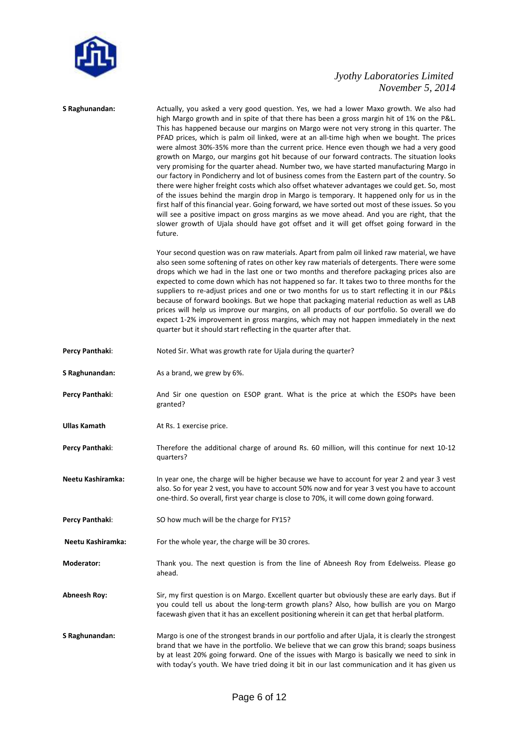

| S Raghunandan:      | Actually, you asked a very good question. Yes, we had a lower Maxo growth. We also had<br>high Margo growth and in spite of that there has been a gross margin hit of 1% on the P&L.<br>This has happened because our margins on Margo were not very strong in this quarter. The<br>PFAD prices, which is palm oil linked, were at an all-time high when we bought. The prices<br>were almost 30%-35% more than the current price. Hence even though we had a very good<br>growth on Margo, our margins got hit because of our forward contracts. The situation looks<br>very promising for the quarter ahead. Number two, we have started manufacturing Margo in<br>our factory in Pondicherry and lot of business comes from the Eastern part of the country. So<br>there were higher freight costs which also offset whatever advantages we could get. So, most<br>of the issues behind the margin drop in Margo is temporary. It happened only for us in the<br>first half of this financial year. Going forward, we have sorted out most of these issues. So you<br>will see a positive impact on gross margins as we move ahead. And you are right, that the<br>slower growth of Ujala should have got offset and it will get offset going forward in the<br>future. |
|---------------------|----------------------------------------------------------------------------------------------------------------------------------------------------------------------------------------------------------------------------------------------------------------------------------------------------------------------------------------------------------------------------------------------------------------------------------------------------------------------------------------------------------------------------------------------------------------------------------------------------------------------------------------------------------------------------------------------------------------------------------------------------------------------------------------------------------------------------------------------------------------------------------------------------------------------------------------------------------------------------------------------------------------------------------------------------------------------------------------------------------------------------------------------------------------------------------------------------------------------------------------------------------------------------|
|                     | Your second question was on raw materials. Apart from palm oil linked raw material, we have<br>also seen some softening of rates on other key raw materials of detergents. There were some<br>drops which we had in the last one or two months and therefore packaging prices also are<br>expected to come down which has not happened so far. It takes two to three months for the<br>suppliers to re-adjust prices and one or two months for us to start reflecting it in our P&Ls<br>because of forward bookings. But we hope that packaging material reduction as well as LAB<br>prices will help us improve our margins, on all products of our portfolio. So overall we do<br>expect 1-2% improvement in gross margins, which may not happen immediately in the next<br>quarter but it should start reflecting in the quarter after that.                                                                                                                                                                                                                                                                                                                                                                                                                            |
| Percy Panthaki:     | Noted Sir. What was growth rate for Ujala during the quarter?                                                                                                                                                                                                                                                                                                                                                                                                                                                                                                                                                                                                                                                                                                                                                                                                                                                                                                                                                                                                                                                                                                                                                                                                              |
| S Raghunandan:      | As a brand, we grew by 6%.                                                                                                                                                                                                                                                                                                                                                                                                                                                                                                                                                                                                                                                                                                                                                                                                                                                                                                                                                                                                                                                                                                                                                                                                                                                 |
| Percy Panthaki:     | And Sir one question on ESOP grant. What is the price at which the ESOPs have been<br>granted?                                                                                                                                                                                                                                                                                                                                                                                                                                                                                                                                                                                                                                                                                                                                                                                                                                                                                                                                                                                                                                                                                                                                                                             |
| Ullas Kamath        | At Rs. 1 exercise price.                                                                                                                                                                                                                                                                                                                                                                                                                                                                                                                                                                                                                                                                                                                                                                                                                                                                                                                                                                                                                                                                                                                                                                                                                                                   |
| Percy Panthaki:     | Therefore the additional charge of around Rs. 60 million, will this continue for next 10-12<br>quarters?                                                                                                                                                                                                                                                                                                                                                                                                                                                                                                                                                                                                                                                                                                                                                                                                                                                                                                                                                                                                                                                                                                                                                                   |
| Neetu Kashiramka:   | In year one, the charge will be higher because we have to account for year 2 and year 3 vest<br>also. So for year 2 vest, you have to account 50% now and for year 3 vest you have to account<br>one-third. So overall, first year charge is close to 70%, it will come down going forward.                                                                                                                                                                                                                                                                                                                                                                                                                                                                                                                                                                                                                                                                                                                                                                                                                                                                                                                                                                                |
| Percy Panthaki:     | SO how much will be the charge for FY15?                                                                                                                                                                                                                                                                                                                                                                                                                                                                                                                                                                                                                                                                                                                                                                                                                                                                                                                                                                                                                                                                                                                                                                                                                                   |
| Neetu Kashiramka:   | For the whole year, the charge will be 30 crores.                                                                                                                                                                                                                                                                                                                                                                                                                                                                                                                                                                                                                                                                                                                                                                                                                                                                                                                                                                                                                                                                                                                                                                                                                          |
| Moderator:          | Thank you. The next question is from the line of Abneesh Roy from Edelweiss. Please go<br>ahead.                                                                                                                                                                                                                                                                                                                                                                                                                                                                                                                                                                                                                                                                                                                                                                                                                                                                                                                                                                                                                                                                                                                                                                           |
| <b>Abneesh Roy:</b> | Sir, my first question is on Margo. Excellent quarter but obviously these are early days. But if<br>you could tell us about the long-term growth plans? Also, how bullish are you on Margo<br>facewash given that it has an excellent positioning wherein it can get that herbal platform.                                                                                                                                                                                                                                                                                                                                                                                                                                                                                                                                                                                                                                                                                                                                                                                                                                                                                                                                                                                 |
| S Raghunandan:      | Margo is one of the strongest brands in our portfolio and after Ujala, it is clearly the strongest<br>brand that we have in the portfolio. We believe that we can grow this brand; soaps business<br>by at least 20% going forward. One of the issues with Margo is basically we need to sink in<br>with today's youth. We have tried doing it bit in our last communication and it has given us                                                                                                                                                                                                                                                                                                                                                                                                                                                                                                                                                                                                                                                                                                                                                                                                                                                                           |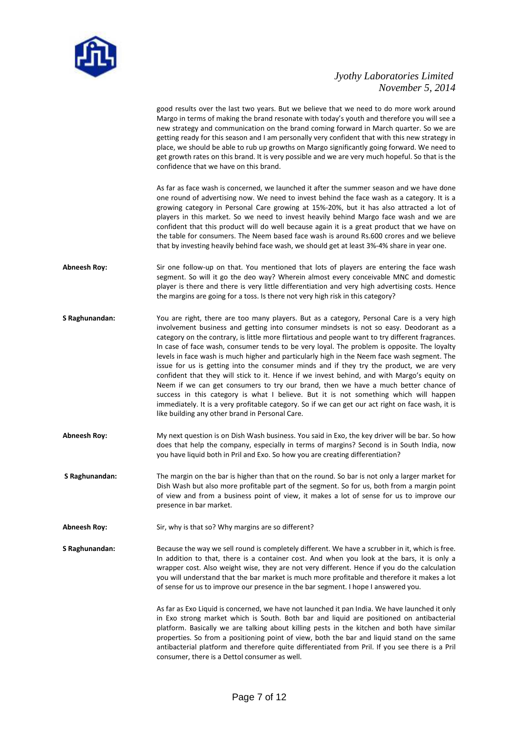

good results over the last two years. But we believe that we need to do more work around Margo in terms of making the brand resonate with today's youth and therefore you will see a new strategy and communication on the brand coming forward in March quarter. So we are getting ready for this season and I am personally very confident that with this new strategy in place, we should be able to rub up growths on Margo significantly going forward. We need to get growth rates on this brand. It is very possible and we are very much hopeful. So that is the confidence that we have on this brand.

As far as face wash is concerned, we launched it after the summer season and we have done one round of advertising now. We need to invest behind the face wash as a category. It is a growing category in Personal Care growing at 15%-20%, but it has also attracted a lot of players in this market. So we need to invest heavily behind Margo face wash and we are confident that this product will do well because again it is a great product that we have on the table for consumers. The Neem based face wash is around Rs.600 crores and we believe that by investing heavily behind face wash, we should get at least 3%-4% share in year one.

- **Abneesh Roy:** Sir one follow-up on that. You mentioned that lots of players are entering the face wash segment. So will it go the deo way? Wherein almost every conceivable MNC and domestic player is there and there is very little differentiation and very high advertising costs. Hence the margins are going for a toss. Is there not very high risk in this category?
- **S Raghunandan:** You are right, there are too many players. But as a category, Personal Care is a very high involvement business and getting into consumer mindsets is not so easy. Deodorant as a category on the contrary, is little more flirtatious and people want to try different fragrances. In case of face wash, consumer tends to be very loyal. The problem is opposite. The loyalty levels in face wash is much higher and particularly high in the Neem face wash segment. The issue for us is getting into the consumer minds and if they try the product, we are very confident that they will stick to it. Hence if we invest behind, and with Margo's equity on Neem if we can get consumers to try our brand, then we have a much better chance of success in this category is what I believe. But it is not something which will happen immediately. It is a very profitable category. So if we can get our act right on face wash, it is like building any other brand in Personal Care.
- **Abneesh Roy:** My next question is on Dish Wash business. You said in Exo, the key driver will be bar. So how does that help the company, especially in terms of margins? Second is in South India, now you have liquid both in Pril and Exo. So how you are creating differentiation?
- **S Raghunandan:** The margin on the bar is higher than that on the round. So bar is not only a larger market for Dish Wash but also more profitable part of the segment. So for us, both from a margin point of view and from a business point of view, it makes a lot of sense for us to improve our presence in bar market.
- Abneesh Roy: Sir, why is that so? Why margins are so different?
- **S Raghunandan:** Because the way we sell round is completely different. We have a scrubber in it, which is free. In addition to that, there is a container cost. And when you look at the bars, it is only a wrapper cost. Also weight wise, they are not very different. Hence if you do the calculation you will understand that the bar market is much more profitable and therefore it makes a lot of sense for us to improve our presence in the bar segment. I hope I answered you.

As far as Exo Liquid is concerned, we have not launched it pan India. We have launched it only in Exo strong market which is South. Both bar and liquid are positioned on antibacterial platform. Basically we are talking about killing pests in the kitchen and both have similar properties. So from a positioning point of view, both the bar and liquid stand on the same antibacterial platform and therefore quite differentiated from Pril. If you see there is a Pril consumer, there is a Dettol consumer as well.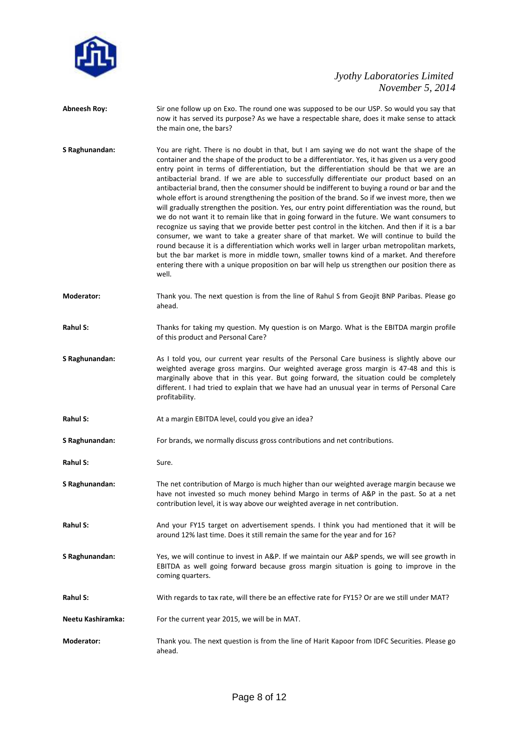

- **Abneesh Roy:** Sir one follow up on Exo. The round one was supposed to be our USP. So would you say that now it has served its purpose? As we have a respectable share, does it make sense to attack the main one, the bars?
- **S Raghunandan:** You are right. There is no doubt in that, but I am saying we do not want the shape of the container and the shape of the product to be a differentiator. Yes, it has given us a very good entry point in terms of differentiation, but the differentiation should be that we are an antibacterial brand. If we are able to successfully differentiate our product based on an antibacterial brand, then the consumer should be indifferent to buying a round or bar and the whole effort is around strengthening the position of the brand. So if we invest more, then we will gradually strengthen the position. Yes, our entry point differentiation was the round, but we do not want it to remain like that in going forward in the future. We want consumers to recognize us saying that we provide better pest control in the kitchen. And then if it is a bar consumer, we want to take a greater share of that market. We will continue to build the round because it is a differentiation which works well in larger urban metropolitan markets, but the bar market is more in middle town, smaller towns kind of a market. And therefore entering there with a unique proposition on bar will help us strengthen our position there as well.
- **Moderator:** Thank you. The next question is from the line of Rahul S from Geojit BNP Paribas. Please go ahead.
- **Rahul S:** Thanks for taking my question. My question is on Margo. What is the EBITDA margin profile of this product and Personal Care?
- **S Raghunandan:** As I told you, our current year results of the Personal Care business is slightly above our weighted average gross margins. Our weighted average gross margin is 47-48 and this is marginally above that in this year. But going forward, the situation could be completely different. I had tried to explain that we have had an unusual year in terms of Personal Care profitability.
- Rahul S: **At a margin EBITDA level, could you give an idea?**
- **S Raghunandan:** For brands, we normally discuss gross contributions and net contributions.
- **Rahul S:** Sure.
- **S Raghunandan:** The net contribution of Margo is much higher than our weighted average margin because we have not invested so much money behind Margo in terms of A&P in the past. So at a net contribution level, it is way above our weighted average in net contribution.
- Rahul S: And your FY15 target on advertisement spends. I think you had mentioned that it will be around 12% last time. Does it still remain the same for the year and for 16?
- **S Raghunandan:** Yes, we will continue to invest in A&P. If we maintain our A&P spends, we will see growth in EBITDA as well going forward because gross margin situation is going to improve in the coming quarters.
- **Rahul S:** With regards to tax rate, will there be an effective rate for FY15? Or are we still under MAT?
- **Neetu Kashiramka:** For the current year 2015, we will be in MAT.
- **Moderator:** Thank you. The next question is from the line of Harit Kapoor from IDFC Securities. Please go ahead.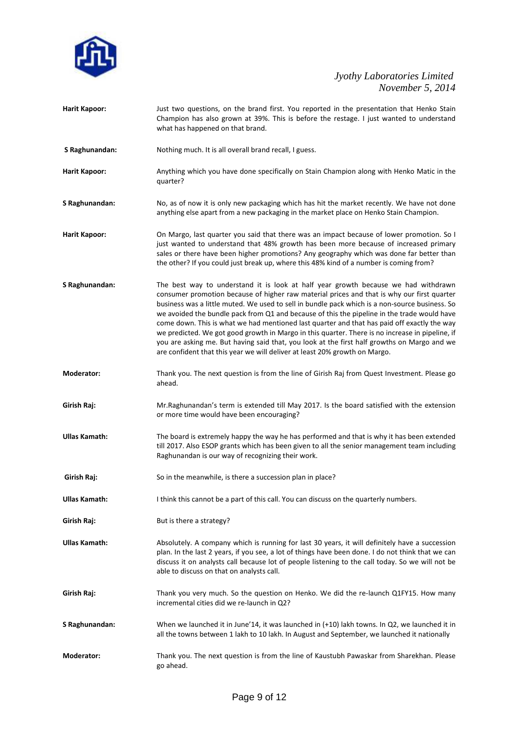

| <b>Harit Kapoor:</b> | Just two questions, on the brand first. You reported in the presentation that Henko Stain<br>Champion has also grown at 39%. This is before the restage. I just wanted to understand<br>what has happened on that brand.                                                                                                                                                                                                                                                                                                                                                                                                                                                                                                                                         |
|----------------------|------------------------------------------------------------------------------------------------------------------------------------------------------------------------------------------------------------------------------------------------------------------------------------------------------------------------------------------------------------------------------------------------------------------------------------------------------------------------------------------------------------------------------------------------------------------------------------------------------------------------------------------------------------------------------------------------------------------------------------------------------------------|
| S Raghunandan:       | Nothing much. It is all overall brand recall, I guess.                                                                                                                                                                                                                                                                                                                                                                                                                                                                                                                                                                                                                                                                                                           |
| <b>Harit Kapoor:</b> | Anything which you have done specifically on Stain Champion along with Henko Matic in the<br>quarter?                                                                                                                                                                                                                                                                                                                                                                                                                                                                                                                                                                                                                                                            |
| S Raghunandan:       | No, as of now it is only new packaging which has hit the market recently. We have not done<br>anything else apart from a new packaging in the market place on Henko Stain Champion.                                                                                                                                                                                                                                                                                                                                                                                                                                                                                                                                                                              |
| <b>Harit Kapoor:</b> | On Margo, last quarter you said that there was an impact because of lower promotion. So I<br>just wanted to understand that 48% growth has been more because of increased primary<br>sales or there have been higher promotions? Any geography which was done far better than<br>the other? If you could just break up, where this 48% kind of a number is coming from?                                                                                                                                                                                                                                                                                                                                                                                          |
| S Raghunandan:       | The best way to understand it is look at half year growth because we had withdrawn<br>consumer promotion because of higher raw material prices and that is why our first quarter<br>business was a little muted. We used to sell in bundle pack which is a non-source business. So<br>we avoided the bundle pack from Q1 and because of this the pipeline in the trade would have<br>come down. This is what we had mentioned last quarter and that has paid off exactly the way<br>we predicted. We got good growth in Margo in this quarter. There is no increase in pipeline, if<br>you are asking me. But having said that, you look at the first half growths on Margo and we<br>are confident that this year we will deliver at least 20% growth on Margo. |
| Moderator:           | Thank you. The next question is from the line of Girish Raj from Quest Investment. Please go<br>ahead.                                                                                                                                                                                                                                                                                                                                                                                                                                                                                                                                                                                                                                                           |
| Girish Raj:          | Mr. Raghunandan's term is extended till May 2017. Is the board satisfied with the extension<br>or more time would have been encouraging?                                                                                                                                                                                                                                                                                                                                                                                                                                                                                                                                                                                                                         |
| <b>Ullas Kamath:</b> | The board is extremely happy the way he has performed and that is why it has been extended<br>till 2017. Also ESOP grants which has been given to all the senior management team including<br>Raghunandan is our way of recognizing their work.                                                                                                                                                                                                                                                                                                                                                                                                                                                                                                                  |
| Girish Raj:          | So in the meanwhile, is there a succession plan in place?                                                                                                                                                                                                                                                                                                                                                                                                                                                                                                                                                                                                                                                                                                        |
| <b>Ullas Kamath:</b> | I think this cannot be a part of this call. You can discuss on the quarterly numbers.                                                                                                                                                                                                                                                                                                                                                                                                                                                                                                                                                                                                                                                                            |
| Girish Raj:          | But is there a strategy?                                                                                                                                                                                                                                                                                                                                                                                                                                                                                                                                                                                                                                                                                                                                         |
| <b>Ullas Kamath:</b> | Absolutely. A company which is running for last 30 years, it will definitely have a succession<br>plan. In the last 2 years, if you see, a lot of things have been done. I do not think that we can<br>discuss it on analysts call because lot of people listening to the call today. So we will not be<br>able to discuss on that on analysts call.                                                                                                                                                                                                                                                                                                                                                                                                             |
| Girish Raj:          | Thank you very much. So the question on Henko. We did the re-launch Q1FY15. How many<br>incremental cities did we re-launch in Q2?                                                                                                                                                                                                                                                                                                                                                                                                                                                                                                                                                                                                                               |
| S Raghunandan:       | When we launched it in June'14, it was launched in (+10) lakh towns. In Q2, we launched it in<br>all the towns between 1 lakh to 10 lakh. In August and September, we launched it nationally                                                                                                                                                                                                                                                                                                                                                                                                                                                                                                                                                                     |
| Moderator:           | Thank you. The next question is from the line of Kaustubh Pawaskar from Sharekhan. Please<br>go ahead.                                                                                                                                                                                                                                                                                                                                                                                                                                                                                                                                                                                                                                                           |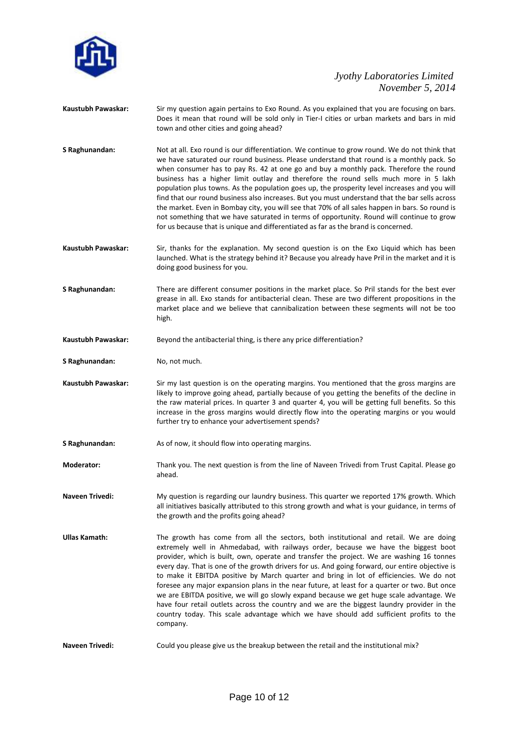

- **Kaustubh Pawaskar:** Sir my question again pertains to Exo Round. As you explained that you are focusing on bars. Does it mean that round will be sold only in Tier-I cities or urban markets and bars in mid town and other cities and going ahead?
- **S Raghunandan:** Not at all. Exo round is our differentiation. We continue to grow round. We do not think that we have saturated our round business. Please understand that round is a monthly pack. So when consumer has to pay Rs. 42 at one go and buy a monthly pack. Therefore the round business has a higher limit outlay and therefore the round sells much more in 5 lakh population plus towns. As the population goes up, the prosperity level increases and you will find that our round business also increases. But you must understand that the bar sells across the market. Even in Bombay city, you will see that 70% of all sales happen in bars. So round is not something that we have saturated in terms of opportunity. Round will continue to grow for us because that is unique and differentiated as far as the brand is concerned.
- **Kaustubh Pawaskar:** Sir, thanks for the explanation. My second question is on the Exo Liquid which has been launched. What is the strategy behind it? Because you already have Pril in the market and it is doing good business for you.
- **S Raghunandan:** There are different consumer positions in the market place. So Pril stands for the best ever grease in all. Exo stands for antibacterial clean. These are two different propositions in the market place and we believe that cannibalization between these segments will not be too high.
- **Kaustubh Pawaskar:** Beyond the antibacterial thing, is there any price differentiation?
- **S Raghunandan:** No, not much.
- **Kaustubh Pawaskar:** Sir my last question is on the operating margins. You mentioned that the gross margins are likely to improve going ahead, partially because of you getting the benefits of the decline in the raw material prices. In quarter 3 and quarter 4, you will be getting full benefits. So this increase in the gross margins would directly flow into the operating margins or you would further try to enhance your advertisement spends?
- **S Raghunandan:** As of now, it should flow into operating margins.
- **Moderator:** Thank you. The next question is from the line of Naveen Trivedi from Trust Capital. Please go ahead.
- **Naveen Trivedi:** My question is regarding our laundry business. This quarter we reported 17% growth. Which all initiatives basically attributed to this strong growth and what is your guidance, in terms of the growth and the profits going ahead?
- **Ullas Kamath:** The growth has come from all the sectors, both institutional and retail. We are doing extremely well in Ahmedabad, with railways order, because we have the biggest boot provider, which is built, own, operate and transfer the project. We are washing 16 tonnes every day. That is one of the growth drivers for us. And going forward, our entire objective is to make it EBITDA positive by March quarter and bring in lot of efficiencies. We do not foresee any major expansion plans in the near future, at least for a quarter or two. But once we are EBITDA positive, we will go slowly expand because we get huge scale advantage. We have four retail outlets across the country and we are the biggest laundry provider in the country today. This scale advantage which we have should add sufficient profits to the company.
- Naveen Trivedi: Could you please give us the breakup between the retail and the institutional mix?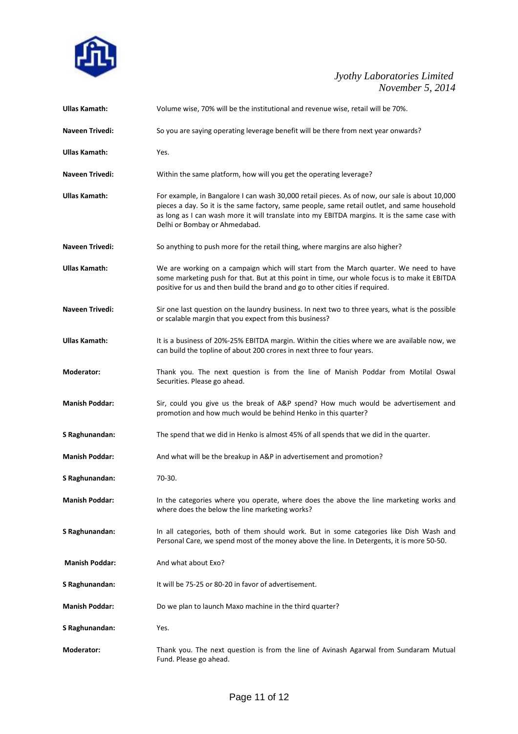

| <b>Ullas Kamath:</b>  | Volume wise, 70% will be the institutional and revenue wise, retail will be 70%.                                                                                                                                                                                                                                                 |
|-----------------------|----------------------------------------------------------------------------------------------------------------------------------------------------------------------------------------------------------------------------------------------------------------------------------------------------------------------------------|
| Naveen Trivedi:       | So you are saying operating leverage benefit will be there from next year onwards?                                                                                                                                                                                                                                               |
| Ullas Kamath:         | Yes.                                                                                                                                                                                                                                                                                                                             |
| Naveen Trivedi:       | Within the same platform, how will you get the operating leverage?                                                                                                                                                                                                                                                               |
| Ullas Kamath:         | For example, in Bangalore I can wash 30,000 retail pieces. As of now, our sale is about 10,000<br>pieces a day. So it is the same factory, same people, same retail outlet, and same household<br>as long as I can wash more it will translate into my EBITDA margins. It is the same case with<br>Delhi or Bombay or Ahmedabad. |
| Naveen Trivedi:       | So anything to push more for the retail thing, where margins are also higher?                                                                                                                                                                                                                                                    |
| Ullas Kamath:         | We are working on a campaign which will start from the March quarter. We need to have<br>some marketing push for that. But at this point in time, our whole focus is to make it EBITDA<br>positive for us and then build the brand and go to other cities if required.                                                           |
| Naveen Trivedi:       | Sir one last question on the laundry business. In next two to three years, what is the possible<br>or scalable margin that you expect from this business?                                                                                                                                                                        |
| <b>Ullas Kamath:</b>  | It is a business of 20%-25% EBITDA margin. Within the cities where we are available now, we<br>can build the topline of about 200 crores in next three to four years.                                                                                                                                                            |
| Moderator:            | Thank you. The next question is from the line of Manish Poddar from Motilal Oswal<br>Securities. Please go ahead.                                                                                                                                                                                                                |
| <b>Manish Poddar:</b> | Sir, could you give us the break of A&P spend? How much would be advertisement and<br>promotion and how much would be behind Henko in this quarter?                                                                                                                                                                              |
| S Raghunandan:        | The spend that we did in Henko is almost 45% of all spends that we did in the quarter.                                                                                                                                                                                                                                           |
| <b>Manish Poddar:</b> | And what will be the breakup in A&P in advertisement and promotion?                                                                                                                                                                                                                                                              |
| S Raghunandan:        | 70-30.                                                                                                                                                                                                                                                                                                                           |
| <b>Manish Poddar:</b> | In the categories where you operate, where does the above the line marketing works and<br>where does the below the line marketing works?                                                                                                                                                                                         |
| S Raghunandan:        | In all categories, both of them should work. But in some categories like Dish Wash and<br>Personal Care, we spend most of the money above the line. In Detergents, it is more 50-50.                                                                                                                                             |
| <b>Manish Poddar:</b> | And what about Exo?                                                                                                                                                                                                                                                                                                              |
| S Raghunandan:        | It will be 75-25 or 80-20 in favor of advertisement.                                                                                                                                                                                                                                                                             |
| <b>Manish Poddar:</b> | Do we plan to launch Maxo machine in the third quarter?                                                                                                                                                                                                                                                                          |
| S Raghunandan:        | Yes.                                                                                                                                                                                                                                                                                                                             |
| Moderator:            | Thank you. The next question is from the line of Avinash Agarwal from Sundaram Mutual<br>Fund. Please go ahead.                                                                                                                                                                                                                  |